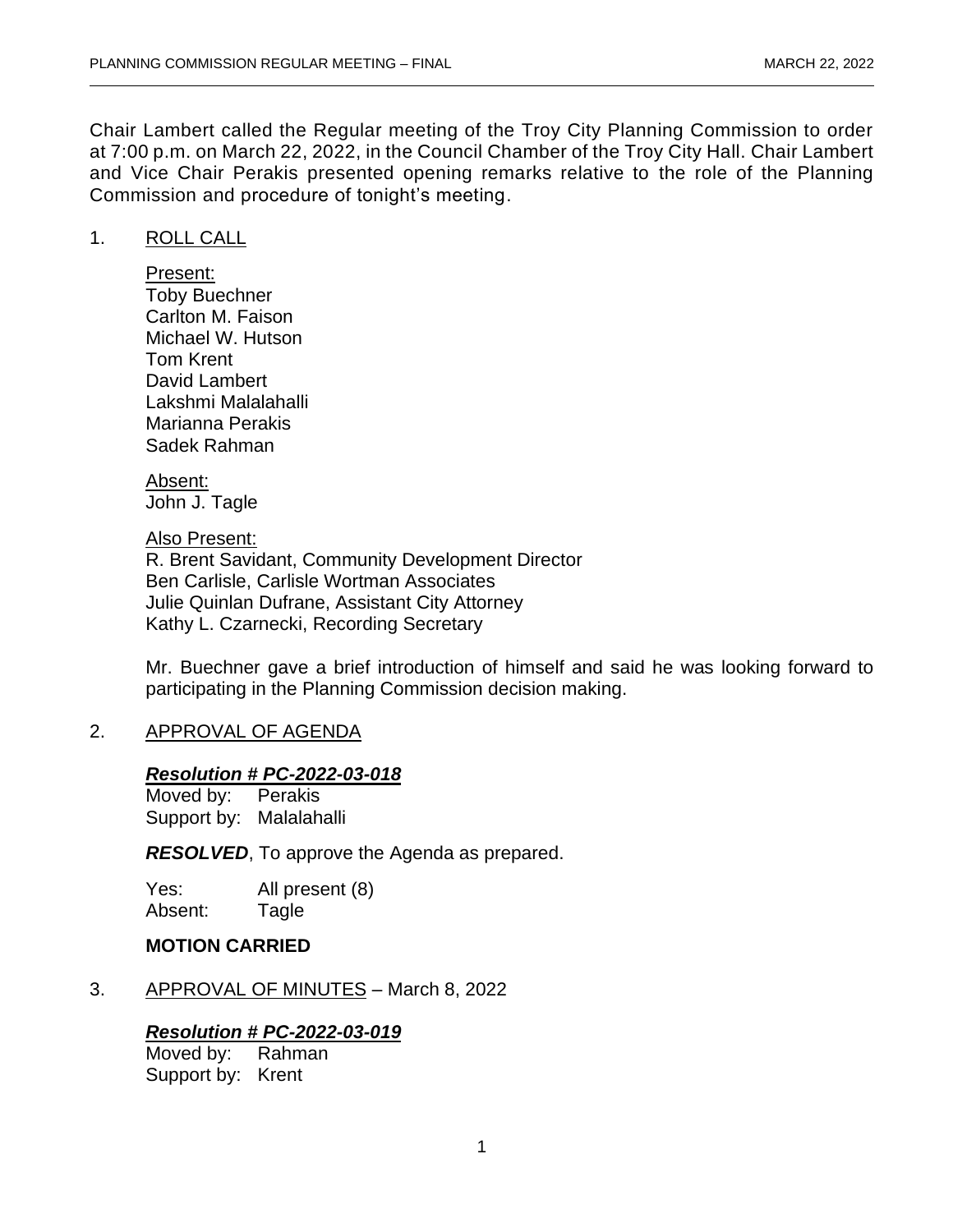Chair Lambert called the Regular meeting of the Troy City Planning Commission to order at 7:00 p.m. on March 22, 2022, in the Council Chamber of the Troy City Hall. Chair Lambert and Vice Chair Perakis presented opening remarks relative to the role of the Planning Commission and procedure of tonight's meeting.

## 1. ROLL CALL

Present: Toby Buechner Carlton M. Faison Michael W. Hutson Tom Krent David Lambert Lakshmi Malalahalli Marianna Perakis Sadek Rahman

Absent: John J. Tagle

Also Present: R. Brent Savidant, Community Development Director Ben Carlisle, Carlisle Wortman Associates Julie Quinlan Dufrane, Assistant City Attorney Kathy L. Czarnecki, Recording Secretary

Mr. Buechner gave a brief introduction of himself and said he was looking forward to participating in the Planning Commission decision making.

## 2. APPROVAL OF AGENDA

## *Resolution # PC-2022-03-018*

Moved by: Perakis Support by: Malalahalli

*RESOLVED*, To approve the Agenda as prepared.

Yes: All present (8) Absent: Tagle

## **MOTION CARRIED**

3. APPROVAL OF MINUTES - March 8, 2022

## *Resolution # PC-2022-03-019*

Moved by: Rahman Support by: Krent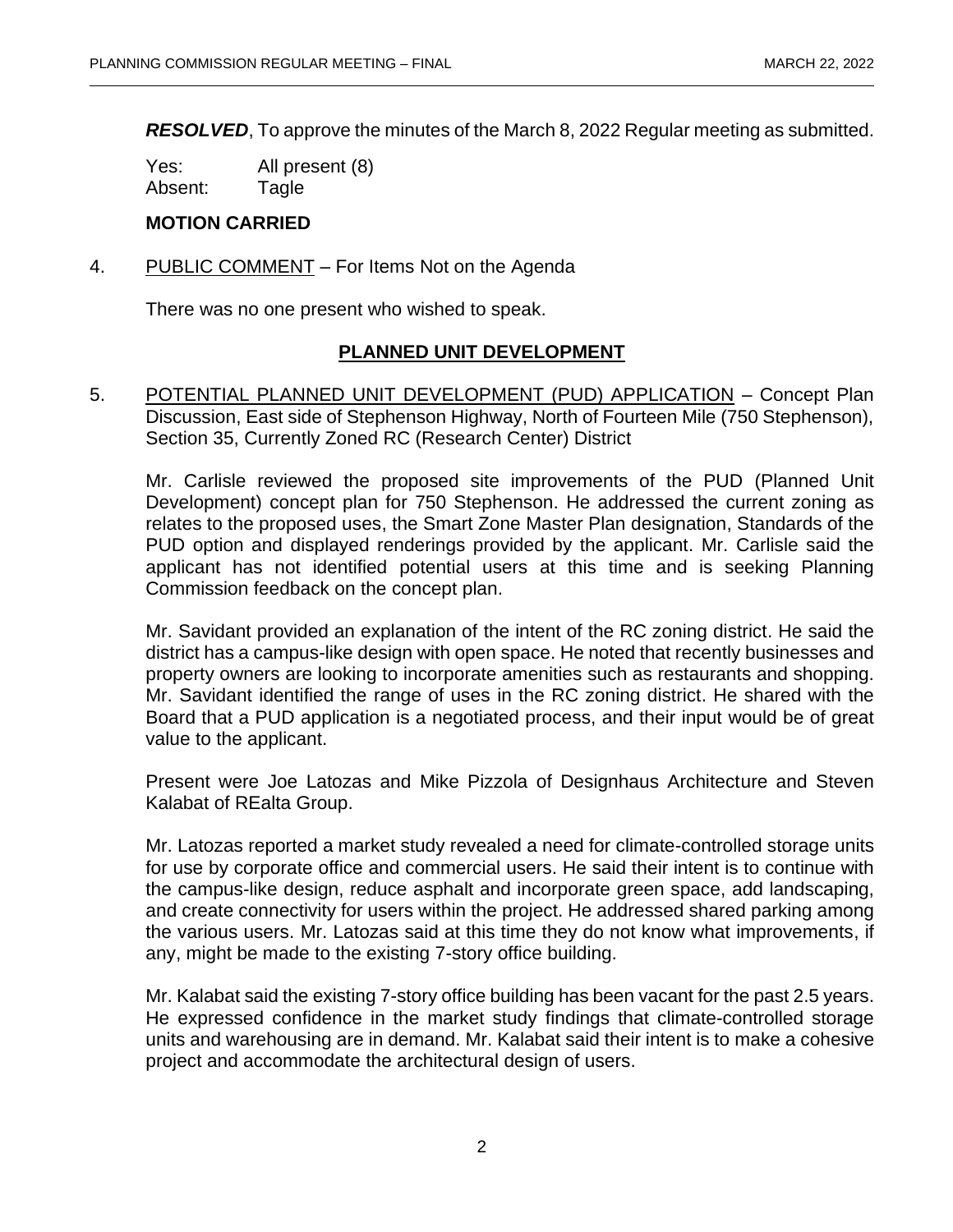*RESOLVED*, To approve the minutes of the March 8, 2022 Regular meeting as submitted.

Yes: All present (8) Absent: Tagle

## **MOTION CARRIED**

4. PUBLIC COMMENT – For Items Not on the Agenda

There was no one present who wished to speak.

## **PLANNED UNIT DEVELOPMENT**

5. POTENTIAL PLANNED UNIT DEVELOPMENT (PUD) APPLICATION – Concept Plan Discussion, East side of Stephenson Highway, North of Fourteen Mile (750 Stephenson), Section 35, Currently Zoned RC (Research Center) District

Mr. Carlisle reviewed the proposed site improvements of the PUD (Planned Unit Development) concept plan for 750 Stephenson. He addressed the current zoning as relates to the proposed uses, the Smart Zone Master Plan designation, Standards of the PUD option and displayed renderings provided by the applicant. Mr. Carlisle said the applicant has not identified potential users at this time and is seeking Planning Commission feedback on the concept plan.

Mr. Savidant provided an explanation of the intent of the RC zoning district. He said the district has a campus-like design with open space. He noted that recently businesses and property owners are looking to incorporate amenities such as restaurants and shopping. Mr. Savidant identified the range of uses in the RC zoning district. He shared with the Board that a PUD application is a negotiated process, and their input would be of great value to the applicant.

Present were Joe Latozas and Mike Pizzola of Designhaus Architecture and Steven Kalabat of REalta Group.

Mr. Latozas reported a market study revealed a need for climate-controlled storage units for use by corporate office and commercial users. He said their intent is to continue with the campus-like design, reduce asphalt and incorporate green space, add landscaping, and create connectivity for users within the project. He addressed shared parking among the various users. Mr. Latozas said at this time they do not know what improvements, if any, might be made to the existing 7-story office building.

Mr. Kalabat said the existing 7-story office building has been vacant for the past 2.5 years. He expressed confidence in the market study findings that climate-controlled storage units and warehousing are in demand. Mr. Kalabat said their intent is to make a cohesive project and accommodate the architectural design of users.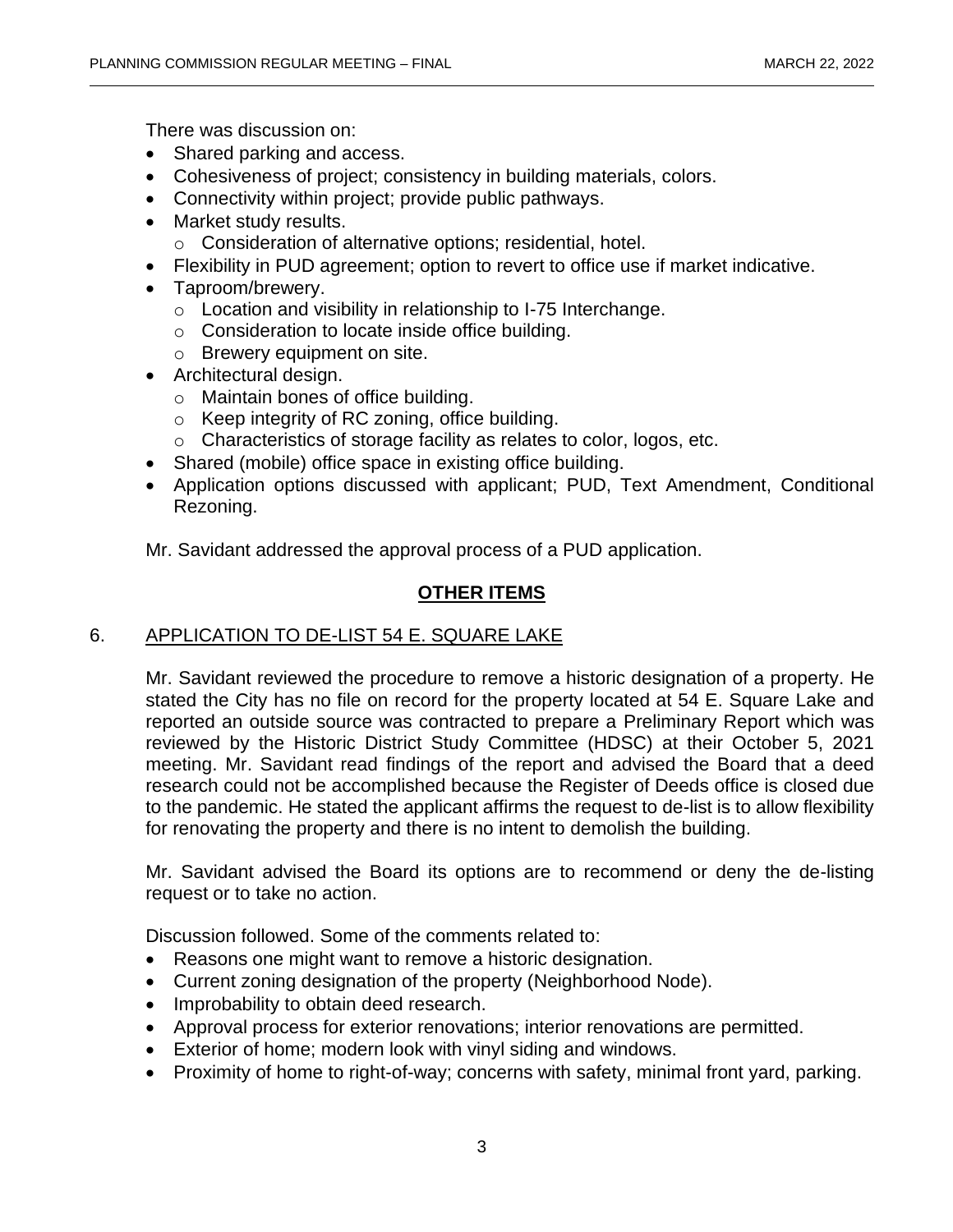There was discussion on:

- Shared parking and access.
- Cohesiveness of project; consistency in building materials, colors.
- Connectivity within project; provide public pathways.
- Market study results.
	- o Consideration of alternative options; residential, hotel.
- Flexibility in PUD agreement; option to revert to office use if market indicative.
- Taproom/brewery.
	- o Location and visibility in relationship to I-75 Interchange.
	- o Consideration to locate inside office building.
	- o Brewery equipment on site.
- Architectural design.
	- o Maintain bones of office building.
	- o Keep integrity of RC zoning, office building.
	- o Characteristics of storage facility as relates to color, logos, etc.
- Shared (mobile) office space in existing office building.
- Application options discussed with applicant; PUD, Text Amendment, Conditional Rezoning.

Mr. Savidant addressed the approval process of a PUD application.

# **OTHER ITEMS**

# 6. APPLICATION TO DE-LIST 54 E. SQUARE LAKE

Mr. Savidant reviewed the procedure to remove a historic designation of a property. He stated the City has no file on record for the property located at 54 E. Square Lake and reported an outside source was contracted to prepare a Preliminary Report which was reviewed by the Historic District Study Committee (HDSC) at their October 5, 2021 meeting. Mr. Savidant read findings of the report and advised the Board that a deed research could not be accomplished because the Register of Deeds office is closed due to the pandemic. He stated the applicant affirms the request to de-list is to allow flexibility for renovating the property and there is no intent to demolish the building.

Mr. Savidant advised the Board its options are to recommend or deny the de-listing request or to take no action.

Discussion followed. Some of the comments related to:

- Reasons one might want to remove a historic designation.
- Current zoning designation of the property (Neighborhood Node).
- Improbability to obtain deed research.
- Approval process for exterior renovations; interior renovations are permitted.
- Exterior of home; modern look with vinyl siding and windows.
- Proximity of home to right-of-way; concerns with safety, minimal front yard, parking.